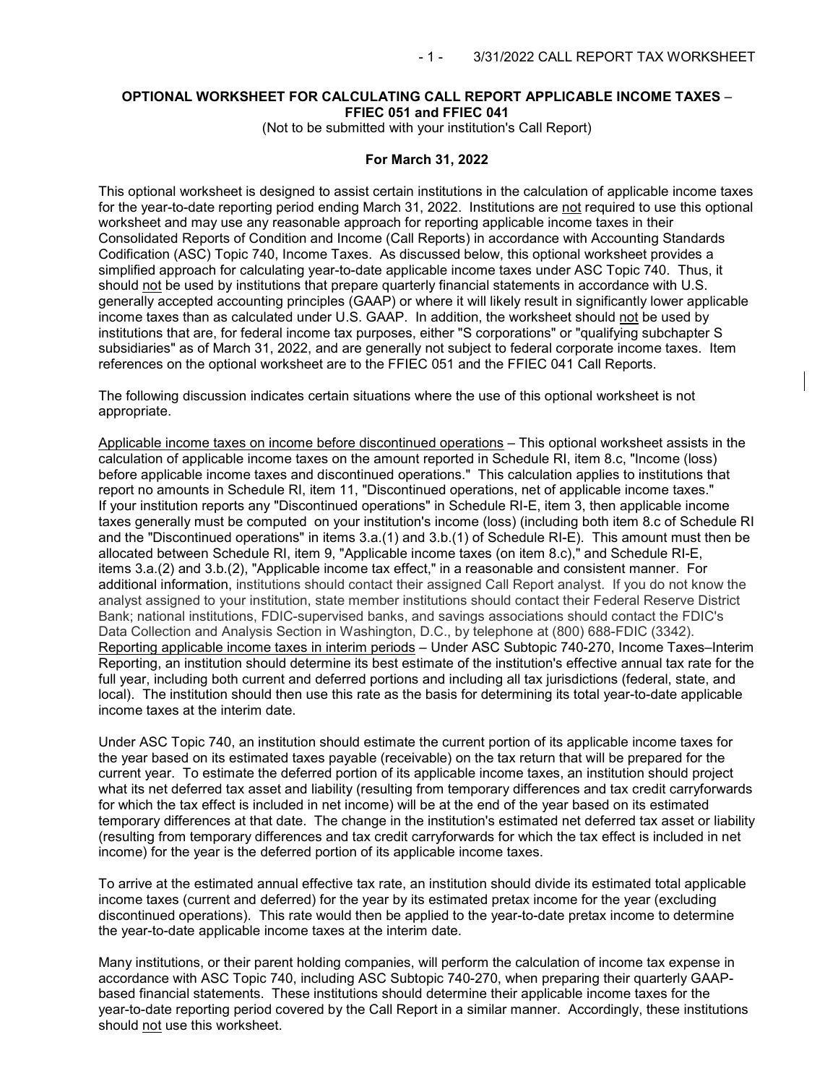## **OPTIONAL WORKSHEET FOR CALCULATING CALL REPORT APPLICABLE INCOME TAXES** – **FFIEC 051 and FFIEC 041**

(Not to be submitted with your institution's Call Report)

#### **For March 31, 2022**

This optional worksheet is designed to assist certain institutions in the calculation of applicable income taxes for the year-to-date reporting period ending March 31, 2022. Institutions are not required to use this optional worksheet and may use any reasonable approach for reporting applicable income taxes in their Consolidated Reports of Condition and Income (Call Reports) in accordance with Accounting Standards Codification (ASC) Topic 740, Income Taxes. As discussed below, this optional worksheet provides a simplified approach for calculating year-to-date applicable income taxes under ASC Topic 740. Thus, it should not be used by institutions that prepare quarterly financial statements in accordance with U.S. generally accepted accounting principles (GAAP) or where it will likely result in significantly lower applicable income taxes than as calculated under U.S. GAAP. In addition, the worksheet should not be used by institutions that are, for federal income tax purposes, either "S corporations" or "qualifying subchapter S subsidiaries" as of March 31, 2022, and are generally not subject to federal corporate income taxes. Item references on the optional worksheet are to the FFIEC 051 and the FFIEC 041 Call Reports.

The following discussion indicates certain situations where the use of this optional worksheet is not appropriate.

Applicable income taxes on income before discontinued operations – This optional worksheet assists in the calculation of applicable income taxes on the amount reported in Schedule RI, item 8.c, "Income (loss) before applicable income taxes and discontinued operations." This calculation applies to institutions that report no amounts in Schedule RI, item 11, "Discontinued operations, net of applicable income taxes." If your institution reports any "Discontinued operations" in Schedule RI-E, item 3, then applicable income taxes generally must be computed on your institution's income (loss) (including both item 8.c of Schedule RI and the "Discontinued operations" in items 3.a.(1) and 3.b.(1) of Schedule RI-E). This amount must then be allocated between Schedule RI, item 9, "Applicable income taxes (on item 8.c)," and Schedule RI-E, items 3.a.(2) and 3.b.(2), "Applicable income tax effect," in a reasonable and consistent manner. For additional information, institutions should contact their assigned Call Report analyst. If you do not know the analyst assigned to your institution, state member institutions should contact their Federal Reserve District Bank; national institutions, FDIC-supervised banks, and savings associations should contact the FDIC's Data Collection and Analysis Section in Washington, D.C., by telephone at (800) 688-FDIC (3342). Reporting applicable income taxes in interim periods - Under ASC Subtopic 740-270, Income Taxes-Interim Reporting, an institution should determine its best estimate of the institution's effective annual tax rate for the full year, including both current and deferred portions and including all tax jurisdictions (federal, state, and local). The institution should then use this rate as the basis for determining its total year-to-date applicable income taxes at the interim date.

Under ASC Topic 740, an institution should estimate the current portion of its applicable income taxes for the year based on its estimated taxes payable (receivable) on the tax return that will be prepared for the current year. To estimate the deferred portion of its applicable income taxes, an institution should project what its net deferred tax asset and liability (resulting from temporary differences and tax credit carryforwards for which the tax effect is included in net income) will be at the end of the year based on its estimated temporary differences at that date. The change in the institution's estimated net deferred tax asset or liability (resulting from temporary differences and tax credit carryforwards for which the tax effect is included in net income) for the year is the deferred portion of its applicable income taxes.

To arrive at the estimated annual effective tax rate, an institution should divide its estimated total applicable income taxes (current and deferred) for the year by its estimated pretax income for the year (excluding discontinued operations). This rate would then be applied to the year-to-date pretax income to determine the year-to-date applicable income taxes at the interim date.

Many institutions, or their parent holding companies, will perform the calculation of income tax expense in accordance with ASC Topic 740, including ASC Subtopic 740-270, when preparing their quarterly GAAPbased financial statements. These institutions should determine their applicable income taxes for the year-to-date reporting period covered by the Call Report in a similar manner. Accordingly, these institutions should not use this worksheet.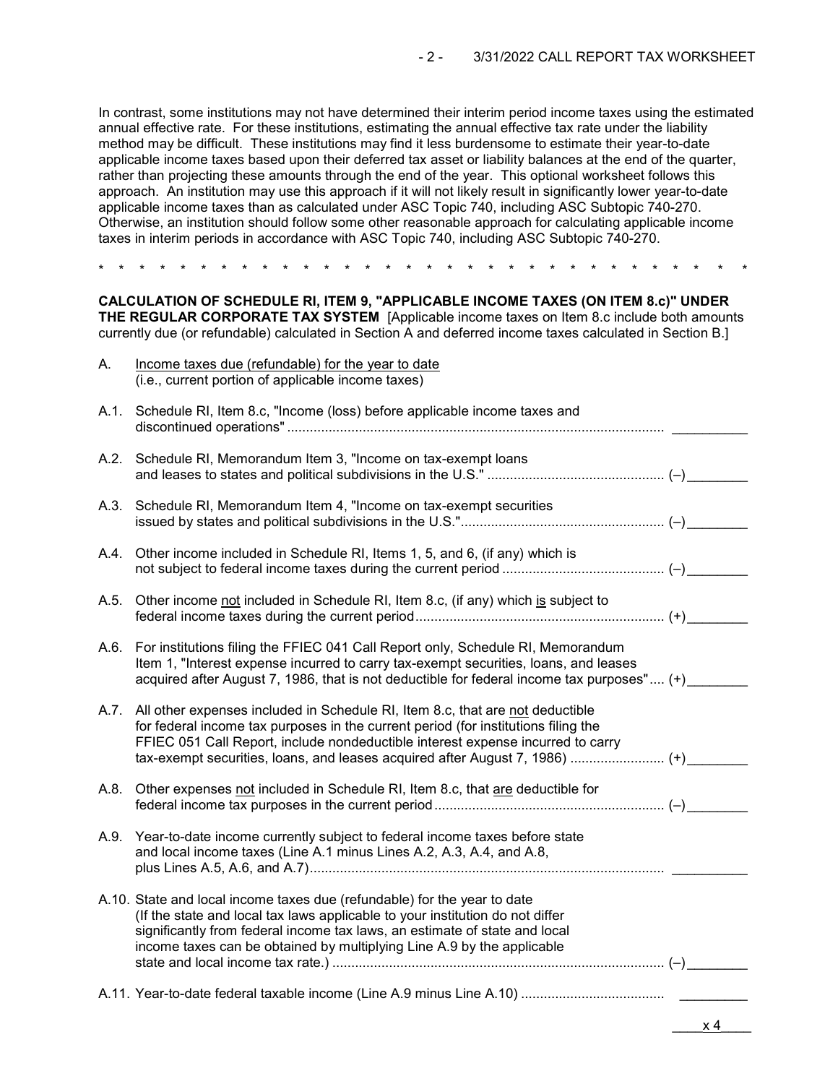In contrast, some institutions may not have determined their interim period income taxes using the estimated annual effective rate. For these institutions, estimating the annual effective tax rate under the liability method may be difficult. These institutions may find it less burdensome to estimate their year-to-date applicable income taxes based upon their deferred tax asset or liability balances at the end of the quarter, rather than projecting these amounts through the end of the year. This optional worksheet follows this approach. An institution may use this approach if it will not likely result in significantly lower year-to-date applicable income taxes than as calculated under ASC Topic 740, including ASC Subtopic 740-270. Otherwise, an institution should follow some other reasonable approach for calculating applicable income taxes in interim periods in accordance with ASC Topic 740, including ASC Subtopic 740-270.

\* \* \* \* \* \* \* \* \* \* \* \* \* \* \* \* \* \* \* \* \* \* \* \* \* \* \* \* \* \* \* \*

**CALCULATION OF SCHEDULE RI, ITEM 9, "APPLICABLE INCOME TAXES (ON ITEM 8.c)" UNDER THE REGULAR CORPORATE TAX SYSTEM** [Applicable income taxes on Item 8.c include both amounts currently due (or refundable) calculated in Section A and deferred income taxes calculated in Section B.]

| Α.   | Income taxes due (refundable) for the year to date                                                                                                                                                                                                                                                                                     |  |
|------|----------------------------------------------------------------------------------------------------------------------------------------------------------------------------------------------------------------------------------------------------------------------------------------------------------------------------------------|--|
|      | (i.e., current portion of applicable income taxes)                                                                                                                                                                                                                                                                                     |  |
| A.1. | Schedule RI, Item 8.c, "Income (loss) before applicable income taxes and                                                                                                                                                                                                                                                               |  |
| A.2. | Schedule RI, Memorandum Item 3, "Income on tax-exempt loans                                                                                                                                                                                                                                                                            |  |
| A.3. | Schedule RI, Memorandum Item 4, "Income on tax-exempt securities                                                                                                                                                                                                                                                                       |  |
| A.4. | Other income included in Schedule RI, Items 1, 5, and 6, (if any) which is                                                                                                                                                                                                                                                             |  |
| A.5. | Other income not included in Schedule RI, Item 8.c, (if any) which is subject to                                                                                                                                                                                                                                                       |  |
| A.6. | For institutions filing the FFIEC 041 Call Report only, Schedule RI, Memorandum<br>Item 1, "Interest expense incurred to carry tax-exempt securities, loans, and leases<br>acquired after August 7, 1986, that is not deductible for federal income tax purposes" (+)                                                                  |  |
| A.7. | All other expenses included in Schedule RI, Item 8.c, that are not deductible<br>for federal income tax purposes in the current period (for institutions filing the<br>FFIEC 051 Call Report, include nondeductible interest expense incurred to carry<br>tax-exempt securities, loans, and leases acquired after August 7, 1986)  (+) |  |
| A.8. | Other expenses not included in Schedule RI, Item 8.c, that are deductible for                                                                                                                                                                                                                                                          |  |
| A.9. | Year-to-date income currently subject to federal income taxes before state<br>and local income taxes (Line A.1 minus Lines A.2, A.3, A.4, and A.8,                                                                                                                                                                                     |  |
|      | A.10. State and local income taxes due (refundable) for the year to date<br>(If the state and local tax laws applicable to your institution do not differ<br>significantly from federal income tax laws, an estimate of state and local<br>income taxes can be obtained by multiplying Line A.9 by the applicable                      |  |
|      |                                                                                                                                                                                                                                                                                                                                        |  |

 $x \, 4$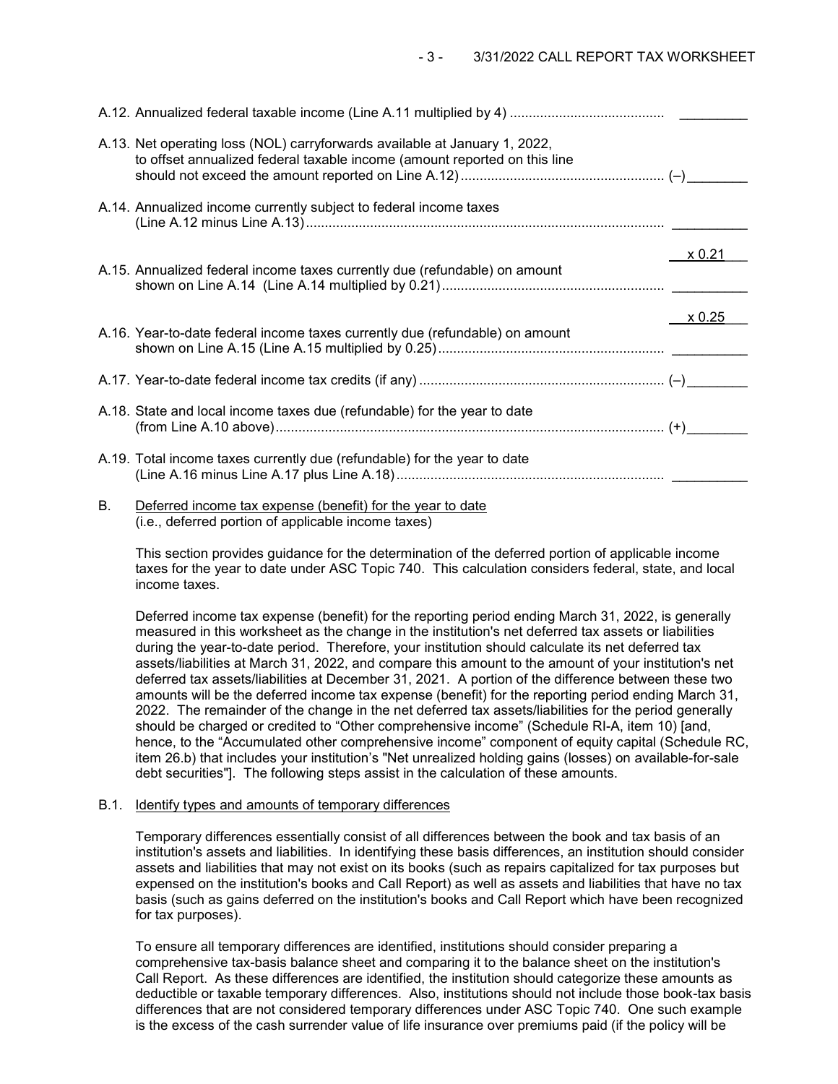|    | A.13. Net operating loss (NOL) carryforwards available at January 1, 2022,<br>to offset annualized federal taxable income (amount reported on this line |        |
|----|---------------------------------------------------------------------------------------------------------------------------------------------------------|--------|
|    | A.14. Annualized income currently subject to federal income taxes                                                                                       |        |
|    | A.15. Annualized federal income taxes currently due (refundable) on amount                                                                              | x 0.21 |
|    | A.16. Year-to-date federal income taxes currently due (refundable) on amount                                                                            | x 0.25 |
|    |                                                                                                                                                         |        |
|    | A.18. State and local income taxes due (refundable) for the year to date                                                                                |        |
|    | A.19. Total income taxes currently due (refundable) for the year to date                                                                                |        |
| В. | Deferred income tax expense (benefit) for the year to date                                                                                              |        |

(i.e., deferred portion of applicable income taxes)

This section provides guidance for the determination of the deferred portion of applicable income taxes for the year to date under ASC Topic 740. This calculation considers federal, state, and local income taxes.

Deferred income tax expense (benefit) for the reporting period ending March 31, 2022, is generally measured in this worksheet as the change in the institution's net deferred tax assets or liabilities during the year-to-date period. Therefore, your institution should calculate its net deferred tax assets/liabilities at March 31, 2022, and compare this amount to the amount of your institution's net deferred tax assets/liabilities at December 31, 2021. A portion of the difference between these two amounts will be the deferred income tax expense (benefit) for the reporting period ending March 31, 2022. The remainder of the change in the net deferred tax assets/liabilities for the period generally should be charged or credited to "Other comprehensive income" (Schedule RI-A, item 10) [and, hence, to the "Accumulated other comprehensive income" component of equity capital (Schedule RC, item 26.b) that includes your institution's "Net unrealized holding gains (losses) on available-for-sale debt securities"]. The following steps assist in the calculation of these amounts.

# B.1. Identify types and amounts of temporary differences

Temporary differences essentially consist of all differences between the book and tax basis of an institution's assets and liabilities. In identifying these basis differences, an institution should consider assets and liabilities that may not exist on its books (such as repairs capitalized for tax purposes but expensed on the institution's books and Call Report) as well as assets and liabilities that have no tax basis (such as gains deferred on the institution's books and Call Report which have been recognized for tax purposes).

To ensure all temporary differences are identified, institutions should consider preparing a comprehensive tax-basis balance sheet and comparing it to the balance sheet on the institution's Call Report. As these differences are identified, the institution should categorize these amounts as deductible or taxable temporary differences. Also, institutions should not include those book-tax basis differences that are not considered temporary differences under ASC Topic 740. One such example is the excess of the cash surrender value of life insurance over premiums paid (if the policy will be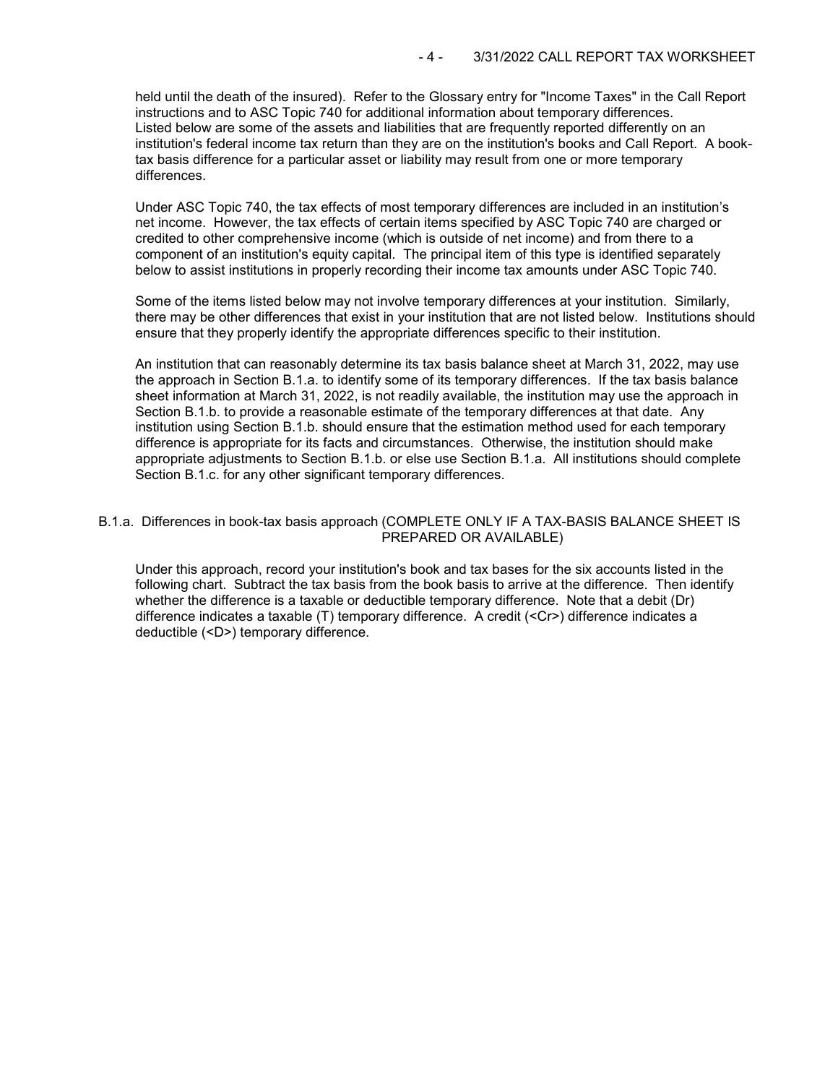held until the death of the insured). Refer to the Glossary entry for "Income Taxes" in the Call Report instructions and to ASC Topic 740 for additional information about temporary differences. Listed below are some of the assets and liabilities that are frequently reported differently on an institution's federal income tax return than they are on the institution's books and Call Report. A booktax basis difference for a particular asset or liability may result from one or more temporary differences.

Under ASC Topic 740, the tax effects of most temporary differences are included in an institution's net income. However, the tax effects of certain items specified by ASC Topic 740 are charged or credited to other comprehensive income (which is outside of net income) and from there to a component of an institution's equity capital. The principal item of this type is identified separately below to assist institutions in properly recording their income tax amounts under ASC Topic 740.

Some of the items listed below may not involve temporary differences at your institution. Similarly, there may be other differences that exist in your institution that are not listed below. Institutions should ensure that they properly identify the appropriate differences specific to their institution.

An institution that can reasonably determine its tax basis balance sheet at March 31, 2022, may use the approach in Section B.1.a. to identify some of its temporary differences. If the tax basis balance sheet information at March 31, 2022, is not readily available, the institution may use the approach in Section B.1.b. to provide a reasonable estimate of the temporary differences at that date. Any institution using Section B.1.b. should ensure that the estimation method used for each temporary difference is appropriate for its facts and circumstances. Otherwise, the institution should make appropriate adjustments to Section B.1.b. or else use Section B.1.a. All institutions should complete Section B.1.c. for any other significant temporary differences.

### B.1.a. Differences in book-tax basis approach (COMPLETE ONLY IF A TAX-BASIS BALANCE SHEET IS PREPARED OR AVAILABLE)

Under this approach, record your institution's book and tax bases for the six accounts listed in the following chart. Subtract the tax basis from the book basis to arrive at the difference. Then identify whether the difference is a taxable or deductible temporary difference. Note that a debit (Dr) difference indicates a taxable (T) temporary difference. A credit (<Cr>) difference indicates a deductible (<D>) temporary difference.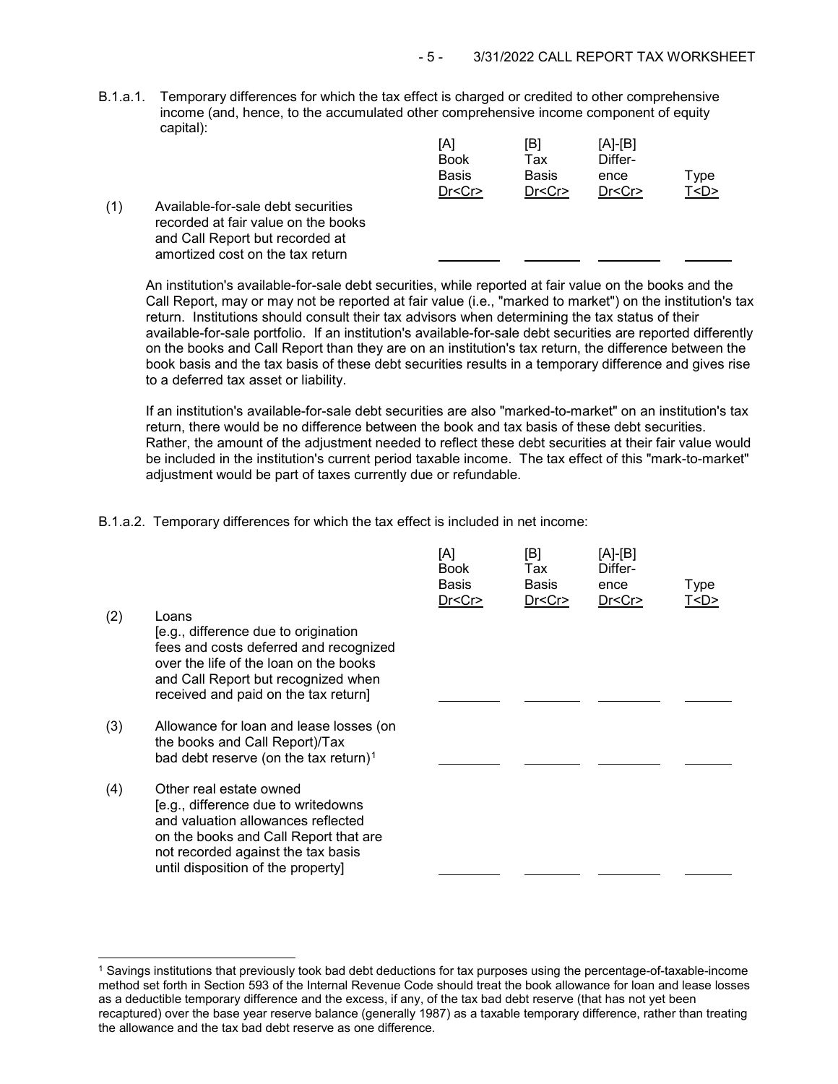B.1.a.1. Temporary differences for which the tax effect is charged or credited to other comprehensive income (and, hence, to the accumulated other comprehensive income component of equity capital):

|                                                                                                                                                  | [A]<br><b>Book</b> | [B]<br>Tax | [A]-[B]<br>Differ- |           |
|--------------------------------------------------------------------------------------------------------------------------------------------------|--------------------|------------|--------------------|-----------|
|                                                                                                                                                  | <b>Basis</b>       | Basis      | ence               | Type      |
|                                                                                                                                                  | Dr < Cr            | Dr < Cr    | Dr < Cr            | T <d></d> |
| Available-for-sale debt securities<br>recorded at fair value on the books<br>and Call Report but recorded at<br>amortized cost on the tax return |                    |            |                    |           |

An institution's available-for-sale debt securities, while reported at fair value on the books and the Call Report, may or may not be reported at fair value (i.e., "marked to market") on the institution's tax return. Institutions should consult their tax advisors when determining the tax status of their available-for-sale portfolio. If an institution's available-for-sale debt securities are reported differently on the books and Call Report than they are on an institution's tax return, the difference between the book basis and the tax basis of these debt securities results in a temporary difference and gives rise to a deferred tax asset or liability.

If an institution's available-for-sale debt securities are also "marked-to-market" on an institution's tax return, there would be no difference between the book and tax basis of these debt securities. Rather, the amount of the adjustment needed to reflect these debt securities at their fair value would be included in the institution's current period taxable income. The tax effect of this "mark-to-market" adjustment would be part of taxes currently due or refundable.

B.1.a.2. Temporary differences for which the tax effect is included in net income:

| (2) | Loans<br>[e.g., difference due to origination<br>fees and costs deferred and recognized<br>over the life of the loan on the books<br>and Call Report but recognized when<br>received and paid on the tax return]          | [A]<br><b>Book</b><br>Basis<br>Dr < Cr | [B]<br>Tax<br><b>Basis</b><br>Dr < Cr | $[A]-[B]$<br>Differ-<br>ence<br>Dr < Cr | Type<br>T <d></d> |
|-----|---------------------------------------------------------------------------------------------------------------------------------------------------------------------------------------------------------------------------|----------------------------------------|---------------------------------------|-----------------------------------------|-------------------|
| (3) | Allowance for loan and lease losses (on<br>the books and Call Report)/Tax<br>bad debt reserve (on the tax return) <sup>1</sup>                                                                                            |                                        |                                       |                                         |                   |
| (4) | Other real estate owned<br>[e.g., difference due to writedowns<br>and valuation allowances reflected<br>on the books and Call Report that are<br>not recorded against the tax basis<br>until disposition of the property] |                                        |                                       |                                         |                   |

<span id="page-4-0"></span> <sup>1</sup> Savings institutions that previously took bad debt deductions for tax purposes using the percentage-of-taxable-income method set forth in Section 593 of the Internal Revenue Code should treat the book allowance for loan and lease losses as a deductible temporary difference and the excess, if any, of the tax bad debt reserve (that has not yet been recaptured) over the base year reserve balance (generally 1987) as a taxable temporary difference, rather than treating the allowance and the tax bad debt reserve as one difference.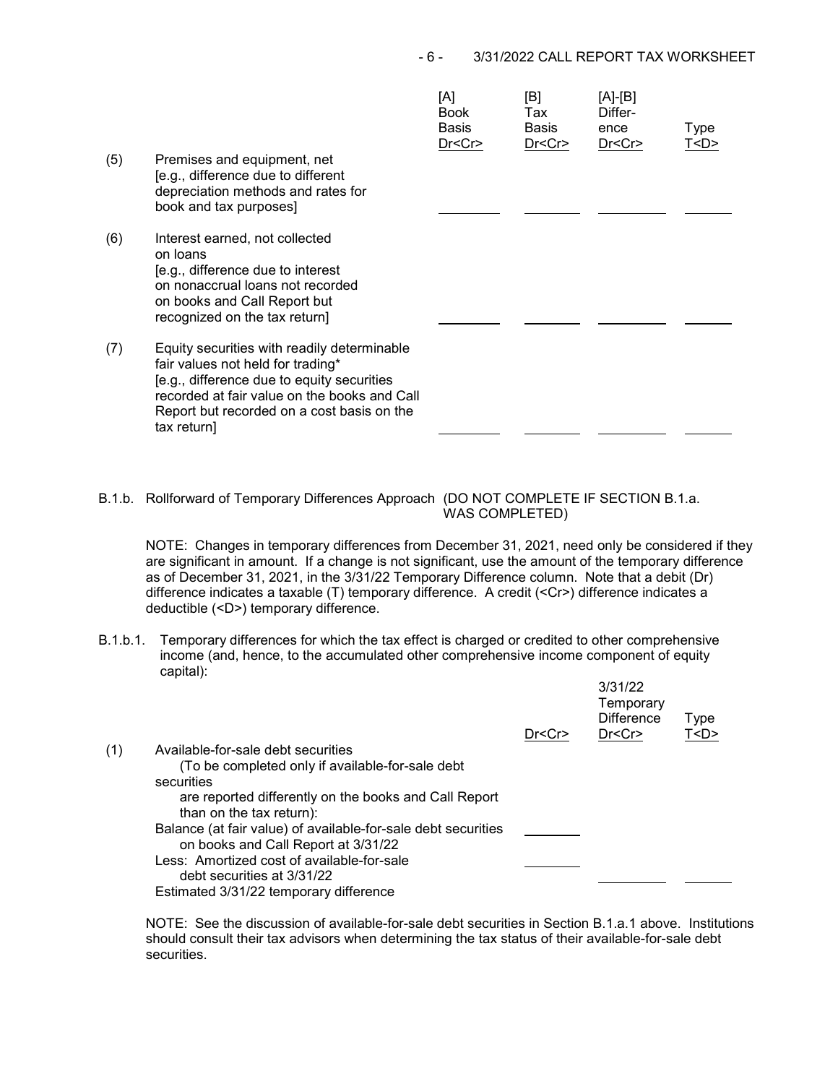## - 6 - 3/31/2022 CALL REPORT TAX WORKSHEET

|     |                                                                                                                                                                                                                                             | [A]<br><b>Book</b><br>Basis<br>Dr <cr></cr> | [B]<br>Tax<br>Basis<br>Dr < Cr | [A]-[B]<br>Differ-<br>ence<br>Dr < Cr | Type<br>T <d></d> |
|-----|---------------------------------------------------------------------------------------------------------------------------------------------------------------------------------------------------------------------------------------------|---------------------------------------------|--------------------------------|---------------------------------------|-------------------|
| (5) | Premises and equipment, net<br>[e.g., difference due to different<br>depreciation methods and rates for<br>book and tax purposes]                                                                                                           |                                             |                                |                                       |                   |
| (6) | Interest earned, not collected<br>on loans<br>[e.g., difference due to interest<br>on nonaccrual loans not recorded<br>on books and Call Report but<br>recognized on the tax return]                                                        |                                             |                                |                                       |                   |
| (7) | Equity securities with readily determinable<br>fair values not held for trading*<br>[e.g., difference due to equity securities<br>recorded at fair value on the books and Call<br>Report but recorded on a cost basis on the<br>tax return] |                                             |                                |                                       |                   |

B.1.b. Rollforward of Temporary Differences Approach (DO NOT COMPLETE IF SECTION B.1.a. WAS COMPLETED)

NOTE: Changes in temporary differences from December 31, 2021, need only be considered if they are significant in amount. If a change is not significant, use the amount of the temporary difference as of December 31, 2021, in the 3/31/22 Temporary Difference column. Note that a debit (Dr) difference indicates a taxable (T) temporary difference. A credit (<Cr>) difference indicates a deductible (<D>) temporary difference.

B.1.b.1. Temporary differences for which the tax effect is charged or credited to other comprehensive income (and, hence, to the accumulated other comprehensive income component of equity capital): 3/31/22

|     |                                                                                   | Dr < Cr | 3/31/22<br>Temporary<br><b>Difference</b><br>Dr <cr></cr> | Type<br>T < D |
|-----|-----------------------------------------------------------------------------------|---------|-----------------------------------------------------------|---------------|
| (1) | Available-for-sale debt securities                                                |         |                                                           |               |
|     | (To be completed only if available-for-sale debt                                  |         |                                                           |               |
|     | securities                                                                        |         |                                                           |               |
|     | are reported differently on the books and Call Report<br>than on the tax return): |         |                                                           |               |
|     | Balance (at fair value) of available-for-sale debt securities                     |         |                                                           |               |
|     | on books and Call Report at 3/31/22                                               |         |                                                           |               |
|     | Less: Amortized cost of available-for-sale                                        |         |                                                           |               |
|     | debt securities at 3/31/22                                                        |         |                                                           |               |
|     | Estimated 3/31/22 temporary difference                                            |         |                                                           |               |

NOTE: See the discussion of available-for-sale debt securities in Section B.1.a.1 above. Institutions should consult their tax advisors when determining the tax status of their available-for-sale debt securities.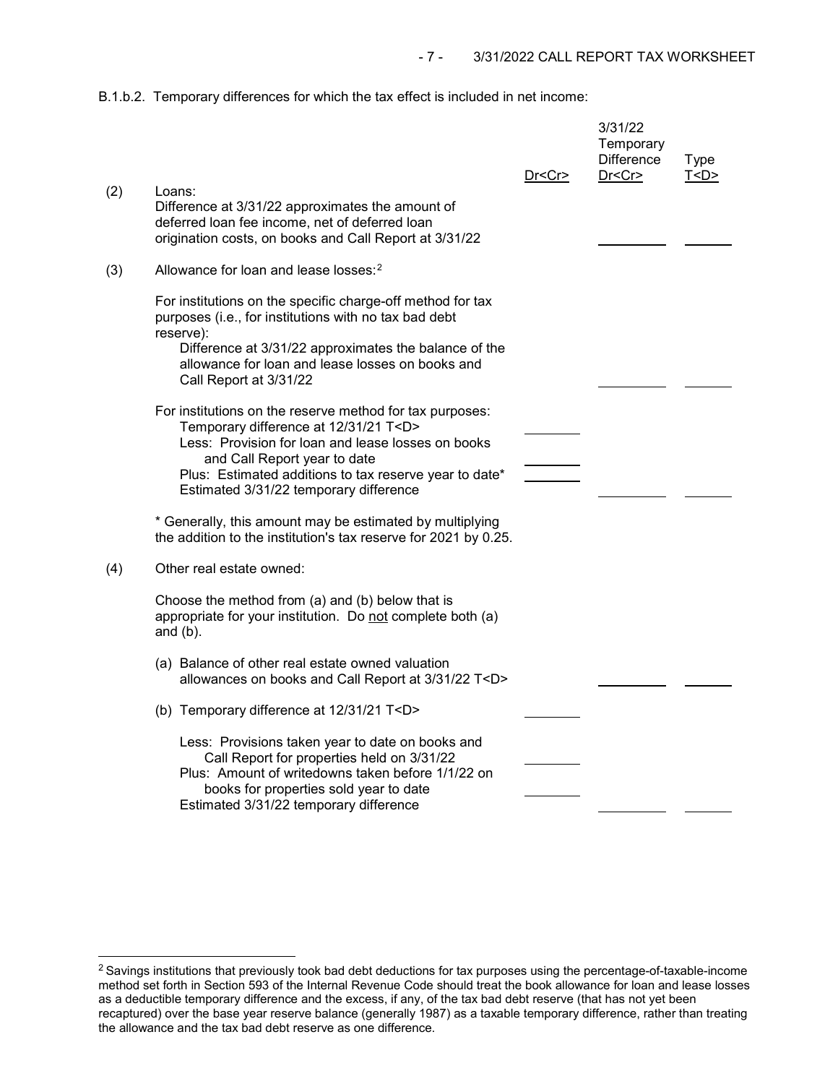B.1.b.2. Temporary differences for which the tax effect is included in net income:

|     |                                                                                                                                                                                                                                                                                                      | Dr <cr></cr> | 3/31/22<br>Temporary<br><b>Difference</b><br>Dr < Cr | <b>Type</b><br>T < D |
|-----|------------------------------------------------------------------------------------------------------------------------------------------------------------------------------------------------------------------------------------------------------------------------------------------------------|--------------|------------------------------------------------------|----------------------|
| (2) | Loans:<br>Difference at 3/31/22 approximates the amount of<br>deferred loan fee income, net of deferred loan<br>origination costs, on books and Call Report at 3/31/22                                                                                                                               |              |                                                      |                      |
| (3) | Allowance for loan and lease losses: <sup>2</sup>                                                                                                                                                                                                                                                    |              |                                                      |                      |
|     | For institutions on the specific charge-off method for tax<br>purposes (i.e., for institutions with no tax bad debt<br>reserve):                                                                                                                                                                     |              |                                                      |                      |
|     | Difference at 3/31/22 approximates the balance of the<br>allowance for loan and lease losses on books and<br>Call Report at 3/31/22                                                                                                                                                                  |              |                                                      |                      |
|     | For institutions on the reserve method for tax purposes:<br>Temporary difference at 12/31/21 T <d><br/>Less: Provision for loan and lease losses on books<br/>and Call Report year to date<br/>Plus: Estimated additions to tax reserve year to date*<br/>Estimated 3/31/22 temporary difference</d> |              |                                                      |                      |
|     | * Generally, this amount may be estimated by multiplying<br>the addition to the institution's tax reserve for 2021 by 0.25.                                                                                                                                                                          |              |                                                      |                      |
| (4) | Other real estate owned:                                                                                                                                                                                                                                                                             |              |                                                      |                      |
|     | Choose the method from (a) and (b) below that is<br>appropriate for your institution. Do not complete both (a)<br>and $(b)$ .                                                                                                                                                                        |              |                                                      |                      |
|     | (a) Balance of other real estate owned valuation<br>allowances on books and Call Report at 3/31/22 T <d></d>                                                                                                                                                                                         |              |                                                      |                      |
|     | (b) Temporary difference at 12/31/21 T <d></d>                                                                                                                                                                                                                                                       |              |                                                      |                      |
|     | Less: Provisions taken year to date on books and<br>Call Report for properties held on 3/31/22<br>Plus: Amount of writedowns taken before 1/1/22 on<br>books for properties sold year to date<br>Estimated 3/31/22 temporary difference                                                              |              |                                                      |                      |

<span id="page-6-0"></span><sup>&</sup>lt;sup>2</sup> Savings institutions that previously took bad debt deductions for tax purposes using the percentage-of-taxable-income method set forth in Section 593 of the Internal Revenue Code should treat the book allowance for loan and lease losses as a deductible temporary difference and the excess, if any, of the tax bad debt reserve (that has not yet been recaptured) over the base year reserve balance (generally 1987) as a taxable temporary difference, rather than treating the allowance and the tax bad debt reserve as one difference.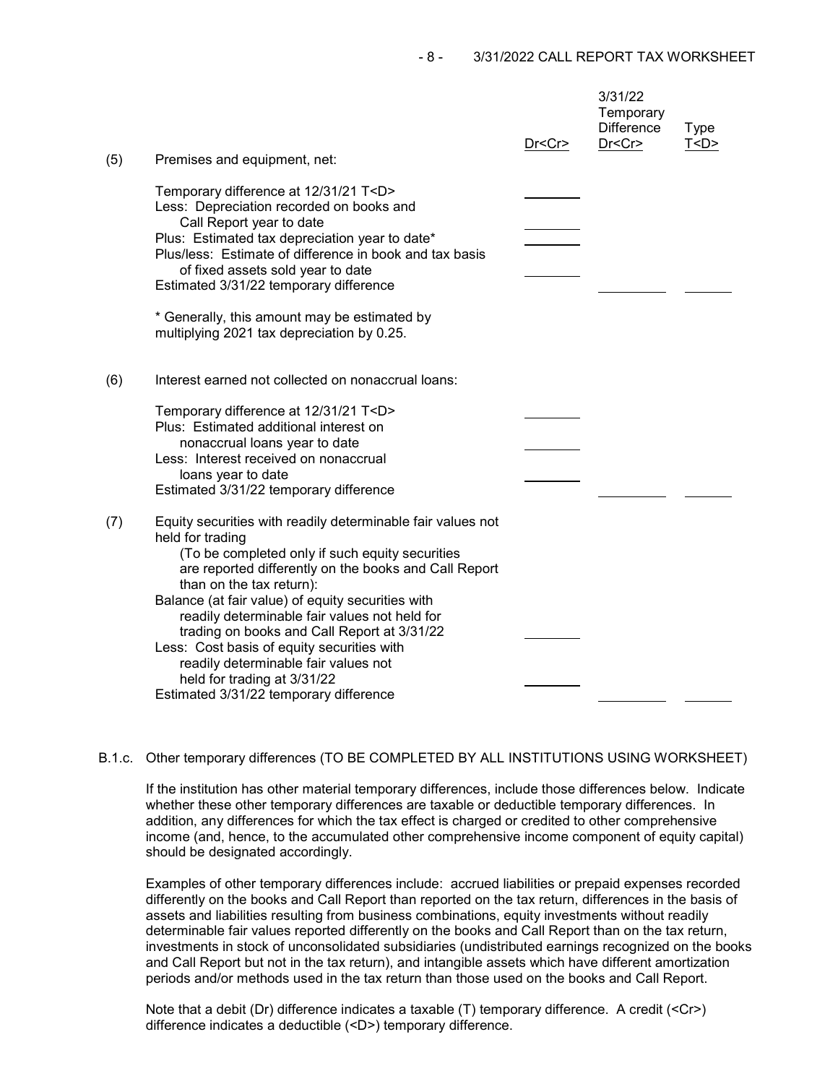| (5) | Premises and equipment, net:                                                                                                                                                                                                                                                                                                                                                                                                                                                                                                                | Dr < Cr | 3/31/22<br>Temporary<br><b>Difference</b><br>Dr < Cr | <b>Type</b><br>T < D |
|-----|---------------------------------------------------------------------------------------------------------------------------------------------------------------------------------------------------------------------------------------------------------------------------------------------------------------------------------------------------------------------------------------------------------------------------------------------------------------------------------------------------------------------------------------------|---------|------------------------------------------------------|----------------------|
|     | Temporary difference at 12/31/21 T <d><br/>Less: Depreciation recorded on books and<br/>Call Report year to date<br/>Plus: Estimated tax depreciation year to date*<br/>Plus/less: Estimate of difference in book and tax basis<br/>of fixed assets sold year to date<br/>Estimated 3/31/22 temporary difference<br/>* Generally, this amount may be estimated by<br/>multiplying 2021 tax depreciation by 0.25.</d>                                                                                                                        |         |                                                      |                      |
| (6) | Interest earned not collected on nonaccrual loans:<br>Temporary difference at 12/31/21 T <d><br/>Plus: Estimated additional interest on<br/>nonaccrual loans year to date<br/>Less: Interest received on nonaccrual<br/>loans year to date<br/>Estimated 3/31/22 temporary difference</d>                                                                                                                                                                                                                                                   |         |                                                      |                      |
| (7) | Equity securities with readily determinable fair values not<br>held for trading<br>(To be completed only if such equity securities<br>are reported differently on the books and Call Report<br>than on the tax return):<br>Balance (at fair value) of equity securities with<br>readily determinable fair values not held for<br>trading on books and Call Report at 3/31/22<br>Less: Cost basis of equity securities with<br>readily determinable fair values not<br>held for trading at 3/31/22<br>Estimated 3/31/22 temporary difference |         |                                                      |                      |

### B.1.c. Other temporary differences (TO BE COMPLETED BY ALL INSTITUTIONS USING WORKSHEET)

If the institution has other material temporary differences, include those differences below. Indicate whether these other temporary differences are taxable or deductible temporary differences. In addition, any differences for which the tax effect is charged or credited to other comprehensive income (and, hence, to the accumulated other comprehensive income component of equity capital) should be designated accordingly.

Examples of other temporary differences include: accrued liabilities or prepaid expenses recorded differently on the books and Call Report than reported on the tax return, differences in the basis of assets and liabilities resulting from business combinations, equity investments without readily determinable fair values reported differently on the books and Call Report than on the tax return, investments in stock of unconsolidated subsidiaries (undistributed earnings recognized on the books and Call Report but not in the tax return), and intangible assets which have different amortization periods and/or methods used in the tax return than those used on the books and Call Report.

Note that a debit (Dr) difference indicates a taxable (T) temporary difference. A credit (<Cr>) difference indicates a deductible (<D>) temporary difference.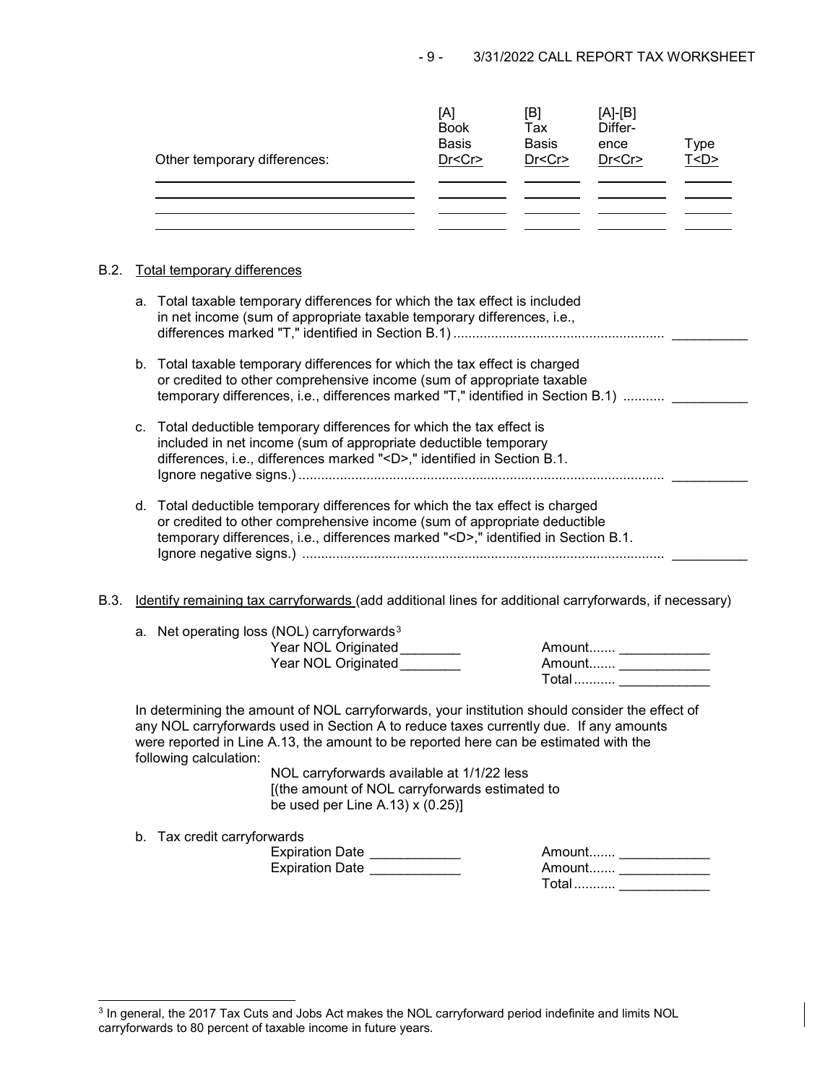| Other temporary differences: | [A]<br><b>Book</b><br><b>Basis</b><br>Dr < Cr | [B]<br>Tax<br><b>Basis</b><br>Dr < Cr | $[A]-[B]$<br>Differ-<br>ence<br>Dr < Cr | Type<br>T <d></d> |
|------------------------------|-----------------------------------------------|---------------------------------------|-----------------------------------------|-------------------|
|                              |                                               |                                       |                                         |                   |

# B.2. Total temporary differences

|      |    | a. Total taxable temporary differences for which the tax effect is included<br>in net income (sum of appropriate taxable temporary differences, i.e.,                                                                                                                                                                                                                                                                                           |
|------|----|-------------------------------------------------------------------------------------------------------------------------------------------------------------------------------------------------------------------------------------------------------------------------------------------------------------------------------------------------------------------------------------------------------------------------------------------------|
|      |    | b. Total taxable temporary differences for which the tax effect is charged<br>or credited to other comprehensive income (sum of appropriate taxable<br>temporary differences, i.e., differences marked "T," identified in Section B.1)                                                                                                                                                                                                          |
|      | C. | Total deductible temporary differences for which the tax effect is<br>included in net income (sum of appropriate deductible temporary<br>differences, i.e., differences marked " <d>," identified in Section B.1.</d>                                                                                                                                                                                                                           |
|      |    | d. Total deductible temporary differences for which the tax effect is charged<br>or credited to other comprehensive income (sum of appropriate deductible<br>temporary differences, i.e., differences marked " <d>," identified in Section B.1.</d>                                                                                                                                                                                             |
| B.3. |    | Identify remaining tax carryforwards (add additional lines for additional carryforwards, if necessary)                                                                                                                                                                                                                                                                                                                                          |
|      |    | a. Net operating loss (NOL) carryforwards <sup>3</sup><br>Year NOL Originated________<br>Amount _______________<br>Year NOL Originated<br>Amount ________________                                                                                                                                                                                                                                                                               |
|      |    | In determining the amount of NOL carryforwards, your institution should consider the effect of<br>any NOL carryforwards used in Section A to reduce taxes currently due. If any amounts<br>were reported in Line A.13, the amount to be reported here can be estimated with the<br>following calculation:<br>NOL carryforwards available at 1/1/22 less<br>[(the amount of NOL carryforwards estimated to<br>be used per Line A.13) $x(0.25)$ ] |
|      |    | b. Tax credit carryforwards<br>Expiration Date ____________<br>Amount _______________<br>Expiration Date<br>Amount _______________<br>Total  ___________                                                                                                                                                                                                                                                                                        |

<span id="page-8-0"></span> $^3$  In general, the 2017 Tax Cuts and Jobs Act makes the NOL carryforward period indefinite and limits NOL carryforwards to 80 percent of taxable income in future years.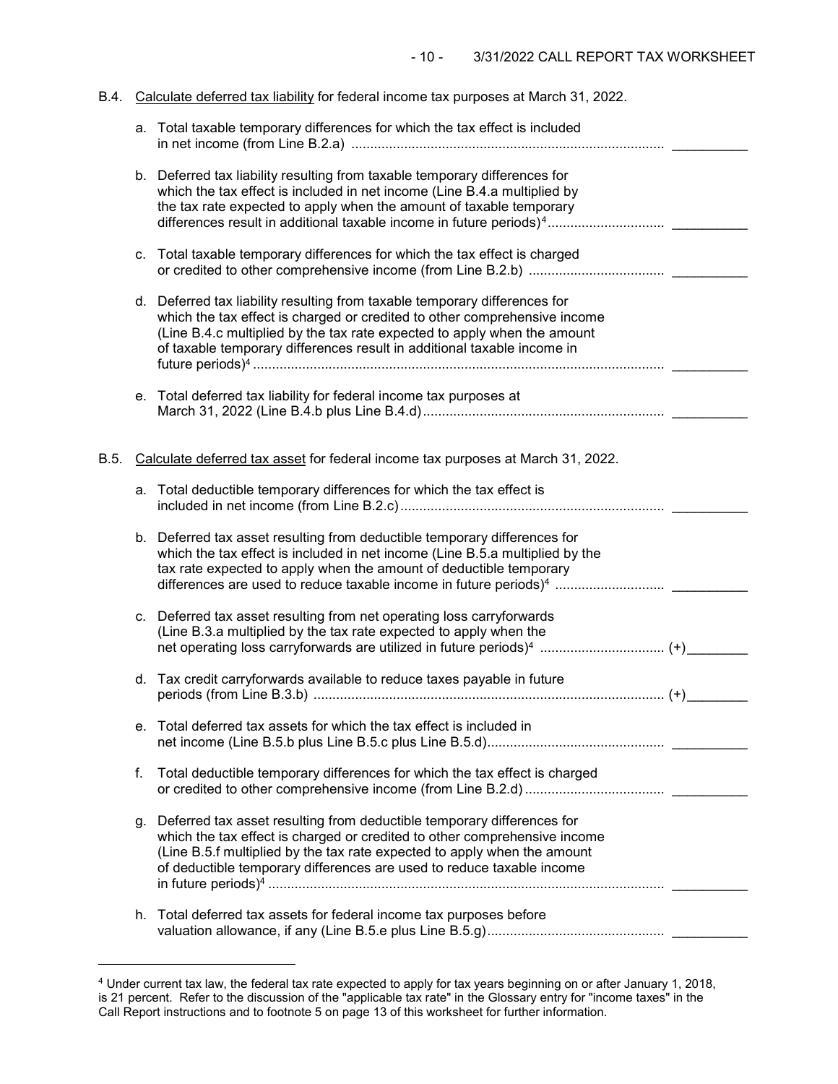| B.4. |    | Calculate deferred tax liability for federal income tax purposes at March 31, 2022.                                                                                                                                                                                                                              |  |
|------|----|------------------------------------------------------------------------------------------------------------------------------------------------------------------------------------------------------------------------------------------------------------------------------------------------------------------|--|
|      |    | a. Total taxable temporary differences for which the tax effect is included                                                                                                                                                                                                                                      |  |
|      |    | b. Deferred tax liability resulting from taxable temporary differences for<br>which the tax effect is included in net income (Line B.4.a multiplied by<br>the tax rate expected to apply when the amount of taxable temporary<br>differences result in additional taxable income in future periods) <sup>4</sup> |  |
|      | C. | Total taxable temporary differences for which the tax effect is charged                                                                                                                                                                                                                                          |  |
|      |    | d. Deferred tax liability resulting from taxable temporary differences for<br>which the tax effect is charged or credited to other comprehensive income<br>(Line B.4.c multiplied by the tax rate expected to apply when the amount<br>of taxable temporary differences result in additional taxable income in   |  |
|      |    | e. Total deferred tax liability for federal income tax purposes at                                                                                                                                                                                                                                               |  |
| B.5. |    | Calculate deferred tax asset for federal income tax purposes at March 31, 2022.                                                                                                                                                                                                                                  |  |
|      |    | a. Total deductible temporary differences for which the tax effect is                                                                                                                                                                                                                                            |  |
|      |    | b. Deferred tax asset resulting from deductible temporary differences for<br>which the tax effect is included in net income (Line B.5.a multiplied by the<br>tax rate expected to apply when the amount of deductible temporary<br>differences are used to reduce taxable income in future periods) <sup>4</sup> |  |
|      |    | c. Deferred tax asset resulting from net operating loss carryforwards<br>(Line B.3.a multiplied by the tax rate expected to apply when the<br>net operating loss carryforwards are utilized in future periods) <sup>4</sup> (+) _____                                                                            |  |
|      |    | d. Tax credit carryforwards available to reduce taxes payable in future                                                                                                                                                                                                                                          |  |
|      |    | e. Total deferred tax assets for which the tax effect is included in                                                                                                                                                                                                                                             |  |
|      | f. | Total deductible temporary differences for which the tax effect is charged                                                                                                                                                                                                                                       |  |
|      |    | g. Deferred tax asset resulting from deductible temporary differences for<br>which the tax effect is charged or credited to other comprehensive income<br>(Line B.5.f multiplied by the tax rate expected to apply when the amount<br>of deductible temporary differences are used to reduce taxable income      |  |
|      |    | h. Total deferred tax assets for federal income tax purposes before                                                                                                                                                                                                                                              |  |
|      |    |                                                                                                                                                                                                                                                                                                                  |  |

j

<span id="page-9-0"></span> $^4$  Under current tax law, the federal tax rate expected to apply for tax years beginning on or after January 1, 2018, is 21 percent. Refer to the discussion of the "applicable tax rate" in the Glossary entry for "income taxes" in the Call Report instructions and to footnote 5 on page 13 of this worksheet for further information.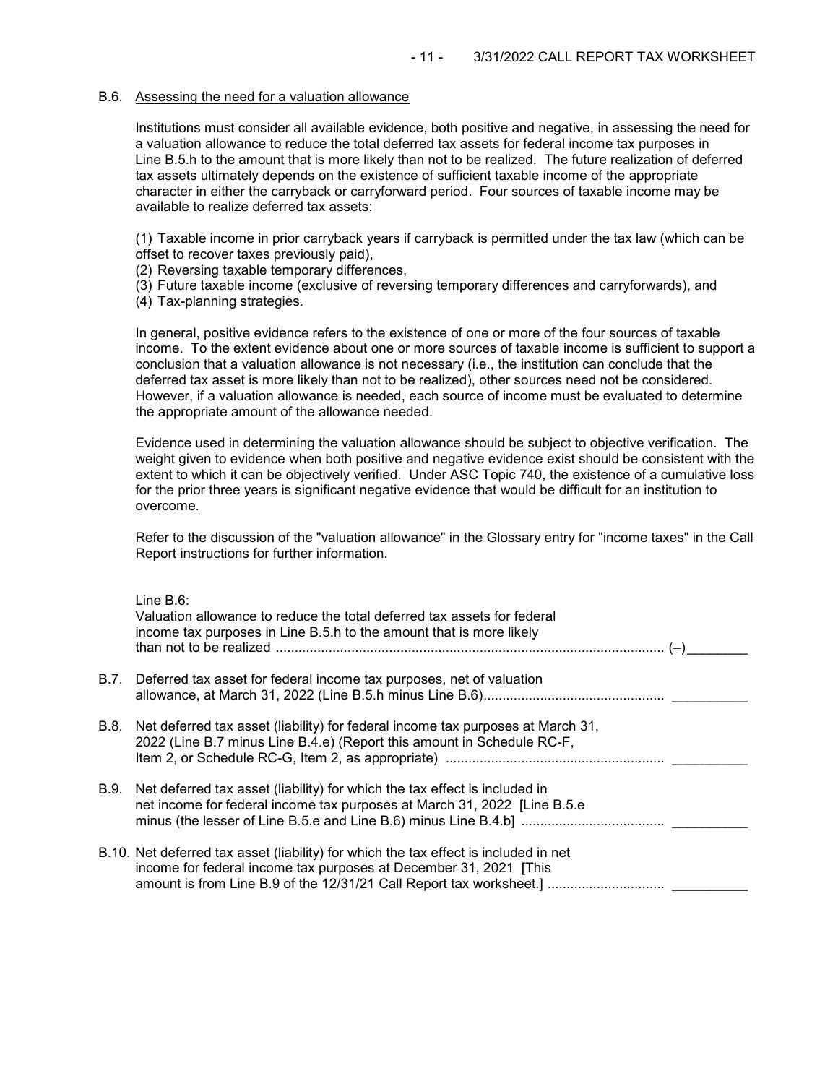#### B.6. Assessing the need for a valuation allowance

Institutions must consider all available evidence, both positive and negative, in assessing the need for a valuation allowance to reduce the total deferred tax assets for federal income tax purposes in Line B.5.h to the amount that is more likely than not to be realized. The future realization of deferred tax assets ultimately depends on the existence of sufficient taxable income of the appropriate character in either the carryback or carryforward period. Four sources of taxable income may be available to realize deferred tax assets:

(1) Taxable income in prior carryback years if carryback is permitted under the tax law (which can be offset to recover taxes previously paid),

- (2) Reversing taxable temporary differences,
- (3) Future taxable income (exclusive of reversing temporary differences and carryforwards), and
- (4) Tax-planning strategies.

In general, positive evidence refers to the existence of one or more of the four sources of taxable income. To the extent evidence about one or more sources of taxable income is sufficient to support a conclusion that a valuation allowance is not necessary (i.e., the institution can conclude that the deferred tax asset is more likely than not to be realized), other sources need not be considered. However, if a valuation allowance is needed, each source of income must be evaluated to determine the appropriate amount of the allowance needed.

Evidence used in determining the valuation allowance should be subject to objective verification. The weight given to evidence when both positive and negative evidence exist should be consistent with the extent to which it can be objectively verified. Under ASC Topic 740, the existence of a cumulative loss for the prior three years is significant negative evidence that would be difficult for an institution to overcome.

Refer to the discussion of the "valuation allowance" in the Glossary entry for "income taxes" in the Call Report instructions for further information.

| Line $B.6$ :<br>Valuation allowance to reduce the total deferred tax assets for federal<br>income tax purposes in Line B.5.h to the amount that is more likely                                                                   |
|----------------------------------------------------------------------------------------------------------------------------------------------------------------------------------------------------------------------------------|
| B.7. Deferred tax asset for federal income tax purposes, net of valuation                                                                                                                                                        |
| B.8. Net deferred tax asset (liability) for federal income tax purposes at March 31,<br>2022 (Line B.7 minus Line B.4.e) (Report this amount in Schedule RC-F,                                                                   |
| B.9. Net deferred tax asset (liability) for which the tax effect is included in<br>net income for federal income tax purposes at March 31, 2022 [Line B.5.e]                                                                     |
| B.10. Net deferred tax asset (liability) for which the tax effect is included in net<br>income for federal income tax purposes at December 31, 2021 [This<br>amount is from Line B.9 of the 12/31/21 Call Report tax worksheet.] |